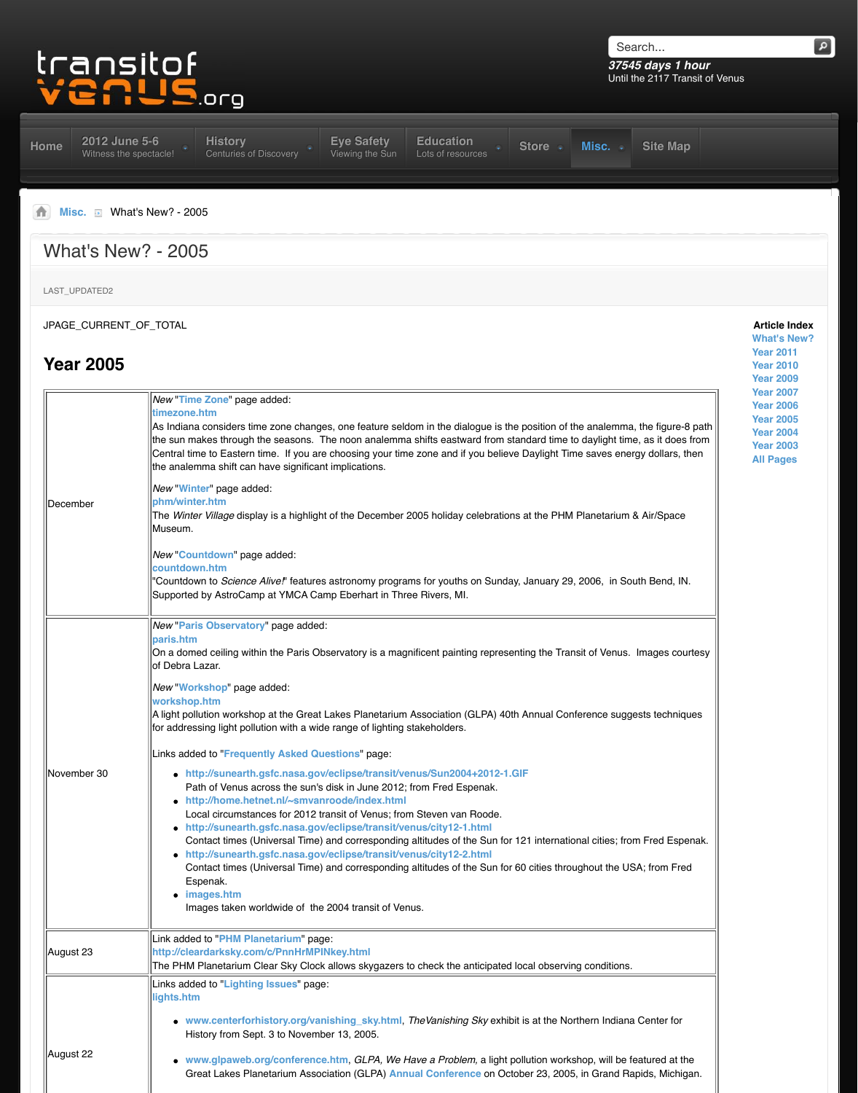|             | the sun makes through the seasons. The noon analemma shifts eastward from s<br>Central time to Eastern time. If you are choosing your time zone and if you believ<br>the analemma shift can have significant implications.                                                                                                                                                                                                                                                                                                                                                                                                                                                                                                        |
|-------------|-----------------------------------------------------------------------------------------------------------------------------------------------------------------------------------------------------------------------------------------------------------------------------------------------------------------------------------------------------------------------------------------------------------------------------------------------------------------------------------------------------------------------------------------------------------------------------------------------------------------------------------------------------------------------------------------------------------------------------------|
| December    | New "Winter" page added:<br>phm/winter.htm<br>The Winter Village display is a highlight of the December 2005 holiday celebration<br>Museum.                                                                                                                                                                                                                                                                                                                                                                                                                                                                                                                                                                                       |
|             | New "Countdown" page added:<br>countdown.htm<br>'Countdown to Science Alive!' features astronomy programs for youths on Sunda<br>Supported by AstroCamp at YMCA Camp Eberhart in Three Rivers, MI.                                                                                                                                                                                                                                                                                                                                                                                                                                                                                                                                |
|             | New "Paris Observatory" page added:<br>paris.htm<br>On a domed ceiling within the Paris Observatory is a magnificent painting represe<br>lof Debra Lazar.                                                                                                                                                                                                                                                                                                                                                                                                                                                                                                                                                                         |
|             | New "Workshop" page added:<br>workshop.htm<br>A light pollution workshop at the Great Lakes Planetarium Association (GLPA) 40t<br>for addressing light pollution with a wide range of lighting stakeholders.                                                                                                                                                                                                                                                                                                                                                                                                                                                                                                                      |
| November 30 | Links added to "Frequently Asked Questions" page:<br>• http://sunearth.gsfc.nasa.gov/eclipse/transit/venus/Sun2004+2012-1.<br>Path of Venus across the sun's disk in June 2012; from Fred Espenak.<br>• http://home.hetnet.nl/~smvanroode/index.html<br>Local circumstances for 2012 transit of Venus; from Steven van Roode.<br>• http://sunearth.gsfc.nasa.gov/eclipse/transit/venus/city12-1.html<br>Contact times (Universal Time) and corresponding altitudes of the Sun for<br>• http://sunearth.gsfc.nasa.gov/eclipse/transit/venus/city12-2.html<br>Contact times (Universal Time) and corresponding altitudes of the Sun for<br>Espenak.<br>$\bullet$ images.htm<br>Images taken worldwide of the 2004 transit of Venus. |
| August 23   | Link added to "PHM Planetarium" page:<br>http://cleardarksky.com/c/PnnHrMPINkey.html<br>The PHM Planetarium Clear Sky Clock allows skygazers to check the anticipated                                                                                                                                                                                                                                                                                                                                                                                                                                                                                                                                                             |
|             | Links added to "Lighting Issues" page:<br>lights.htm                                                                                                                                                                                                                                                                                                                                                                                                                                                                                                                                                                                                                                                                              |
|             | • www.centerforhistory.org/vanishing_sky.html, TheVanishing Sky exhib<br>History from Sept. 3 to November 13, 2005.                                                                                                                                                                                                                                                                                                                                                                                                                                                                                                                                                                                                               |
| August 22   | • www.glpaweb.org/conference.htm, GLPA, We Have a Problem, a light<br>Great Lakes Planetarium Association (GLPA) Annual Conference on Oct                                                                                                                                                                                                                                                                                                                                                                                                                                                                                                                                                                                         |
|             |                                                                                                                                                                                                                                                                                                                                                                                                                                                                                                                                                                                                                                                                                                                                   |

As Indiana considers time zone changes, one feature seldom in the dialogue is the position of the analemma, the figure-8 path